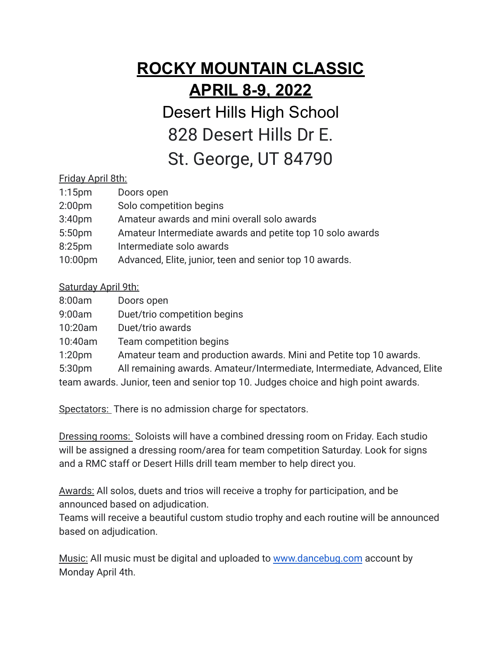# **ROCKY MOUNTAIN CLASSIC APRIL 8-9, 2022**

Desert Hills High School 828 Desert Hills Dr E. St. George, UT 84790

### Friday April 8th:

| $1:15$ pm          | Doors open                                                |
|--------------------|-----------------------------------------------------------|
| 2:00 <sub>pm</sub> | Solo competition begins                                   |
| 3:40 <sub>pm</sub> | Amateur awards and mini overall solo awards               |
| 5:50 <sub>pm</sub> | Amateur Intermediate awards and petite top 10 solo awards |
| 8:25 <sub>pm</sub> | Intermediate solo awards                                  |
| 10:00pm            | Advanced, Elite, junior, teen and senior top 10 awards.   |

### Saturday April 9th:

| 8:00am             | Doors open                                                                        |  |
|--------------------|-----------------------------------------------------------------------------------|--|
| 9:00am             | Duet/trio competition begins                                                      |  |
| 10:20am            | Duet/trio awards                                                                  |  |
| 10:40am            | Team competition begins                                                           |  |
| 1:20 <sub>pm</sub> | Amateur team and production awards. Mini and Petite top 10 awards.                |  |
| 5:30pm             | All remaining awards. Amateur/Intermediate, Intermediate, Advanced, Elite         |  |
|                    | team awards. Junior, teen and senior top 10. Judges choice and high point awards. |  |

Spectators: There is no admission charge for spectators.

Dressing rooms: Soloists will have a combined dressing room on Friday. Each studio will be assigned a dressing room/area for team competition Saturday. Look for signs and a RMC staff or Desert Hills drill team member to help direct you.

Awards: All solos, duets and trios will receive a trophy for participation, and be announced based on adjudication.

Teams will receive a beautiful custom studio trophy and each routine will be announced based on adjudication.

Music: All music must be digital and uploaded to [www.dancebug.com](http://www.dancebug.com) account by Monday April 4th.